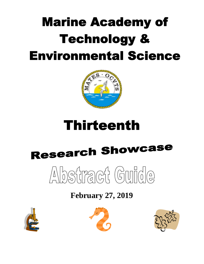## **Marine Academy of Technology & Environmental Science**



### **Thirteenth**

# **Research Showcase**



### **February 27, 2019**





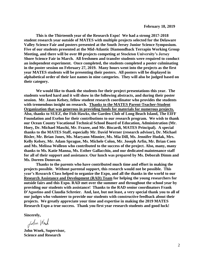**This is the Thirteenth year of the Research Expo! We had a strong 2017-2018 student research year outside of MATES with multiple projects selected for the Delaware Valley Science Fair and posters presented at the South Jersey Junior Science Symposium. Five of our students presented at the Mid-Atlantic Diamondback Terrapin Working Group Meeting, and there will be over 80 projects competing at Stockton University's Jersey Shore Science Fair in March. All freshmen and transfer students were required to conduct an independent experiment. Once completed, the students completed a poster culminating in the poster session on February 27, 2019. Many hours went into the projects as the first year MATES students will be presenting their posters. All posters will be displayed in alphabetical order of their last names in nine categories. They will also be judged based on their category.** 

**We would like to thank the students for their project presentations this year. The students worked hard and it will show in the following abstracts, and during their poster session. Mr. Jason Kelsey, fellow student research coordinator who provides the students with tremendous insight on research. Thanks to the MATES Parent-Teacher-Student Organization that was generous in providing funds for materials for numerous projects. Also, thanks to SUEZ, the Fish Hawks, the Garden Club of Long Beach Island, The EIFF Foundation and Exelon for their contributions to our research program. We wish to thank our Ocean County Vocational Technical School Board of Education, Administration (Mr. Hoey, Dr. Michael Maschi, Mr. Frazee, and Mr. Biscardi, MATES Principal). A special thanks to the MATES Staff, especially Mr. David Werner (research advisor), Dr. Michael Bixler, Mr. Brian Jones, Ms. Maryann Minnier, Ms. Mia Dill, Ms. Jennifer Hudak, Mrs. Kelly Kelsey, Mr. Adam Sprague, Ms. Michele Colon, Mr. Joseph Arfin, Mr. Brian Coen and Ms. Melissa Wolleon who contributed to the success of the project. Also, many, many thanks to Ms. Katie Manna, Ms. Esther Gallacchio, and our dedicated maintenance staff for all of their support and assistance. Our lunch was prepared by Ms. Deborah Dimm and Ms. Doreen Donovan.**

**Thanks to the parents who have contributed much time and effort in making the projects possible. Without parental support, this research would not be possible. This year's Research Class helped to organize the Expo, and all the thanks in the world to our Research Assistance and Development (RAD) Team for helping the young researchers for outside fairs and this Expo. RAD met over the summer and throughout the school year by providing our students with assistance! Thanks to the RAD senior coordinators Frank D'Agostino and Claudia Schreier. And, last, but not least, a very special thank you to all of our judges who volunteer to provide our students with constructive feedback about their projects. We greatly appreciate your time and expertise in making the 2019 MATES Research Expo a true success. Thank you first year research students and good luck!** 

**Sincerely,**

John Wrock

**John Wnek, Supervisor, Science and Research**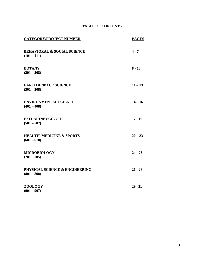#### **TABLE OF CONTENTS**

| <b>CATEGORY/PROJECT NUMBER</b>                          | <b>PAGES</b> |
|---------------------------------------------------------|--------------|
| <b>BEHAVIORAL &amp; SOCIAL SCIENCE</b><br>$(101 - 111)$ | $4 - 7$      |
| <b>BOTANY</b><br>$(201 - 208)$                          | $8 - 10$     |
| <b>EARTH &amp; SPACE SCIENCE</b><br>$(301 - 308)$       | $11 - 13$    |
| <b>ENVIRONMENTAL SCIENCE</b><br>$(401 - 408)$           | $14 - 16$    |
| <b>ESTUARINE SCIENCE</b><br>$(501 - 507)$               | $17 - 19$    |
| <b>HEALTH, MEDICINE &amp; SPORTS</b><br>$(601 - 610)$   | $20 - 23$    |
| <b>MICROBIOLOGY</b><br>$(701 - 705)$                    | $24 - 25$    |
| PHYSICAL SCIENCE & ENGINEERING<br>$(801 - 808)$         | $26 - 28$    |
| <b>ZOOLOGY</b><br>$(901 - 907)$                         | $29 - 31$    |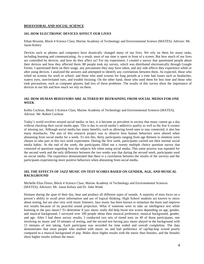#### **BEHAVIORAL AND SOCIAL SCIENCE**

#### **101. HOW ELECTRONIC DEVICES AFFECT OUR LIVES**

Ethan Broome, Block 4 Science Class, Marine Academy of Technology and Environmental Science (MATES); Advisor: Mr. Jason Kelsey

Devices such as phones and computers have drastically changed many of our lives. We rely on them for many tasks, including learning and communicating. As a result, most of our time is spent in front of a screen. But how much of our lives are controlled by devices, and how do they affect us? For my experiment, I created a survey that questioned people about their devices and how they affected them. 88 people took my survey, which was distributed electronically through Google Forms. I questioned them on their usage, any precautions they may have taken, and any side effects they experience while or after using devices. I analyzed the answers and attempted to identify any correlations between them. As expected, those who relied on screens for work or school, and those who used screens for long periods at a time had issues such as headaches, watery eyes, sore/irritated eyes, and trouble focusing. On the other hand, those who used them for less time and those who took precautions, such as computer glasses, had less of these problems. The results of this survey show the importance of devices in our life and how much we rely on them.

#### **102. HOW HUMAN BEHAVIORS ARE ALTERED BY REFRAINING FROM SOCIAL MEDIA FOR ONE WEEK**

Kellie Cochran, Block 3 Science Class, Marine Academy of Technology and Environmental Sciences (MATES), Advisor: Mr. Robert Cochran

Today's world revolves around social media; in fact, it is become so prevalent in society that many cannot go a day without checking their social media apps. This is due to social media's addictive quality as well as the fear it creates of missing out. Although social media has many benefits, such as allowing loved ones to stay connected, it also has many drawbacks. The aim of this research project was to observe how human behaviors were altered when abstaining from social media for a week. To test this, thirty participants ranging from age thirteen to nineteen were chosen to take part in this two week experiment. During the first week, participants carried out their normal social media habits. At the end of the week, the participants filled out a twenty multiple choice question survey that consisted of questions regarding how the subjects felt when using social media. This same process was repeated for the second week and the only difference between the two weeks was that during the second week, participants used no social media. The experience demonstrated that there is a correlation between the results of the surveys and the participants experiencing more positive behaviors when abstaining from social media.

#### **103. THE EFFECTS OF JAZZ MUSIC ON TEST SCORES BASED ON GENDER, AGE, AND MUSICAL BACKGROUND**

Michelle Elias Flores, Block 4 Science Class, Marine Academy of Technology and Environmental Sciences (MATES); Advisors: Mr. Jason Kelsey and Dr. John Wnek

Humans during the span of their day, hear and produce all different types of sounds. A majority of tests focus on a person's ability to recall prior information and use of logical thinking. High School students are known to stress about testing, but are also very avid music listeners. Jazz music has been known to stimulate the brain and improve test results because of its peaceful sound projection. What if someone were to take an intelligence test while listening to the jazz music? To determine if jazz music really did help boost test scores depending on age, gender, and musical background, I surveyed over 100 people about their musical preference, musical background, gender, and age. After I had these survey results, I conducted two sets of timed tests on 49 of those participants, one involving no music and 10 minutes of testing, and the second test having jazz music played in the background with 15 minutes of test taking. Each participant was recorded for time ended and overall completion. The data demonstrates that most people who studied with music on and had preference of rap/hip-hop scored poorly compared to a musical background of pop. Males show higher results with the music than females, and the females show higher results without the music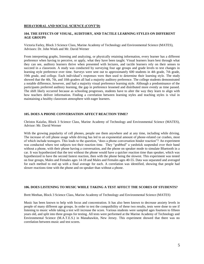#### **BEHAVIORAL AND SOCIAL SCIENCE (CONT'D)**

#### **104. THE EFFECTS OF VISUAL, AUDITORY, AND TACTILE LEARNING STYLES ON DIFFERENT AGE GROUPS**

Victoria Farley, Block 3 Science Class, Marine Academy of Technology and Environmental Science (MATES), Advisors: Dr. John Wnek and Mr. David Werner

From interpreting graphs, listening and analyzing, or physically retaining information, every learner has a different preference when having to perceive, or apply, what they have been taught. Visual learners learn best through what they can see, auditory learners thrive when presented with lectures, and tactile learners rely on their senses to succeed in a classroom. A study was conducted by surveying four age groups and grade levels to test changes in learning style preference over time. Surveys were sent out to approximately 600 students in 4th grade, 7th grade, 10th grade, and college. Each individual's responses were then used to determine their learning style. The study showed that the 4th, 7th, and 10th graders all had a majority auditory preference. The college students demonstrated a notable difference, however, and had a majority visual preference learning style. Although a predominance of the participants preferred auditory learning, the gap in preference lessened and distributed more evenly as time passed. The shift likely occurred because as schooling progresses, students have to alter the way they learn to align with how teachers deliver information. Finding a correlation between learning styles and teaching styles is vital in maintaining a healthy classroom atmosphere with eager learners.

#### **105. DOES A PHONE CONVERSATION AFFECT REACTION TIME?**

Christos Kaiafas, Block 3 Science Class, Marine Academy of Technology and Environmental Science (MATES), Advisor: Mr. David Werner

With the growing popularity of cell phones, people use them anywhere and at any time, including while driving. The increase of cell phone usage while driving has led to an exponential amount of phone-related car crashes, most of which include teenagers. This leads to the question, "does a phone conversation hinder reaction"? An experiment was conducted where test subjects test their reaction time. They "grabbed" a yardstick suspended over their hand without a phone, with their phone having a conversation, and the phone on speaker mode to simulate Bluetooth in a car. It was hypothesized that the test without the phone would have a quicker reaction time than speaker, which was hypothesized to have the second fastest reaction, then with the phone being the slowest. This experiment was tested on four groups, Males and Females ages 14-18 and Males and Females ages 40-55. Data was separated and averaged for each method to end up with a final average for each. A correlation was identified, showing that people had slower reactions time with the phone and on speaker than without a phone.

#### **106. DOES LISTENING TO MUSIC WHILE TAKING A TEST AFFECT THE SCORES OF STUDENTS?**

Brett Meehan, Block 3 Science Class, Marine Academy of Technology and Environmental Science (MATES)

Music has been known to help with focus and concentration. It has also been known to decrease anxiety levels in people of many different age groups. In order to test the compatibility of these two results, tests were done to see if listening to music while taking a test will increase the score. Various students were sampled ages fourteen to fifteen years old, and split into three groups for testing. All tests were performed at the Marine Academy of Technology and Environmental Science (M.A.T.E.S.) in Manahawkin, New Jersey. This experiment showed that there was no correlation between music and test scores.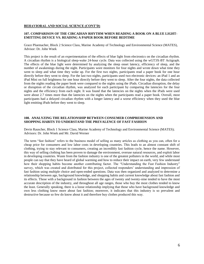#### **BEHAVIORAL AND SOCIAL SCIENCE (CONT'D)**

#### **107. COMPARISON OF THE CIRCADIAN RHYTHM WHEN READING A BOOK ON A BLUE LIGHT-EMITTING DEVICE VS. READING A PAPER BOOK BEFORE BEDTIME**

Grace Pluemacher, Block 2 Science Class, Marine Academy of Technology and Environmental Science (MATES), Advisor: Dr. John Wnek

This project is the result of an experimentation of the effects of blue light from electronics on the circadian rhythm. A circadian rhythm is a biological sleep-wake 24-hour cycle. Data was collected using the wGT3X-BT Actigraph. The effects of the blue light were determined by analyzing the sleep onset latency, efficiency of sleep, and the number of awakenings during the night. Participants wore monitors for four nights and wrote down what time they went to sleep and what time they woke up. For the first two nights, participants read a paper book for one hour directly before they went to sleep. For the last two nights, participants used two electronic devices: an iPad 1 and an iPad Mini on full brightness for one hour directly before they went to sleep. After the four nights, the data collected from the nights reading the paper book were compared to the nights using the iPads. Circadian disruption, the delay or disruption of the circadian rhythm, was analyzed for each participant by comparing the latencies for the four nights and the efficiency from each night. It was found that the latencies on the nights when the iPads were used were about 2.7 times more than the latencies on the nights when the participants read a paper book. Overall, most participants had a delayed circadian rhythm with a longer latency and a worse efficiency when they used the blue light emitting iPads before they went to sleep.

#### **108. ANALYZING THE RELATIONSHIP BETWEEN CONSUMER COMPREHENSION AND SHOPPING HABITS TO UNDERSTAND THE PREVALENCE OF FAST FASHION**

Devin Rauscher, Block 1 Science Class, Marine Academy of Technology and Environmental Science (MATES); Advisors: Dr. John Wnek and Mr. David Werner

The term "fast fashion" refers to the business model of selling as many articles as clothing as you can, often for a cheap price for consumers and low labor costs in developing countries. This leads to an almost constant shift of clothing, trying to stay relevant to consumers, creating an incredibly fast fashion cycle, hence the name. However, this way of selling clothing has been proven to damage the environment, overuse natural resources, and exploit labor in developing countries. Waste from the fashion industry is one of the greatest polluters in the world, and while most people can say that they have heard of global warming and how to reduce their impact on earth, very few understand how their shopping habits become another contributing factor. The "Understanding the Fast Fashion Industry" survey, which was created and distributed for this project, collected responders' understanding and impression of fast fashion using multiple choice and open-ended questions. Data was then organized and analyzed to determine a relationship between age, background knowledge, and shopping habits and current knowledge about fast fashion and its effects. Those with a background in fashion between the ages of twenty and twenty-nine tended to have the most accurate description of the industry, and throughout all age ranges, those who buy the most clothes tended to know the least. Generally speaking, there is a loose relationship implying that those who have background knowledge and own less clothing know more about fast fashion; moreover, it indicates that this industry is so prevalent and destructive because so few do know about it and therefore buy clothes produced this way.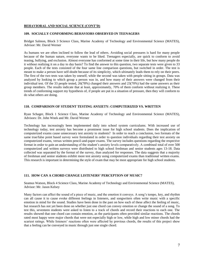#### **BEHAVIORAL AND SOCIAL SCIENCE (CONT'D)**

#### **109. SOCIALLY CONFORMING BEHAVIORS OBSERVED IN TEENAGERS**

Bridget Salmon, Block 3 Science Class, Marine Academy of Technology and Environmental Science (MATES), Advisor: Mr. David Werner

As humans we are often inclined to follow the lead of others. Avoiding social pressures is hard for many people because of the human nature, everyone wants to be liked. Teenagers especially, are quick to conform to avoid teasing, bullying, and exclusion. Almost everyone has conformed at some time in their life, but how many people do it without realizing it on a day to day basis? To find the answer to this question, two separate tests were given to 33 people. Each of the tests consisted of the four same line comparison questions, but switched in order. The test is meant to make a person have self-doubt because of its simplicity, which ultimately leads them to rely on their peers. The first of the two tests was taken by oneself, while the second was taken with people sitting in groups. Data was analyzed by looking to which group a person was in, and how many of their answers were changed from their individual test. Of the 33 people tested, 26(78%) changed their answers and 23(70%) had the same answers as their group members. The results indicate that at least, approximately, 70% of them conform without realizing it. These trends of conforming support my hypothesis of, if people are put in a situation of pressure, then they will conform to do what others are doing.

#### **110. COMPARISON OF STUDENT TESTING ANXIETY: COMPUTERIZED VS. WRITTEN**

Ryan Schager, Block 1 Science Class, Marine Academy of Technology and Environmental Science (MATES), Advisors: Dr. John Wnek and Mr. David Werner

Technology has increasingly been implemented daily into school system curriculums. With increased use of technology today, test anxiety has become a prominent issue for high school students. Does the implication of computerized exams cause unnecessary test anxiety to students? In order to reach a conclusion, two formats of the same true/false point based survey were formulated in order to question individuals regarding their test anxiety on computerized exams, versus written pencil-and-paper exams. The survey includes questions regarding the respective format in order to gain an understanding of the student's anxiety levels comparatively. A combined total of over 500 computerized and written surveys were distributed to high school freshman and senior students ages 13-18. Data collected was separated by the format of the survey, than analyzed for responses. The data suggests that a majority of freshman and senior students exhibit more test anxiety using computerized exams than traditional written exams. This research is important in determining the style of exam that may be most appropriate for high school students.

#### **111. HOW CAN A CHORD CHANGE LISTENERS' PERCEPTION OF MUSIC?**

Seamus Watson, Block 4 Science Class, Marine Academy of Technology and Environmental Science (MATES), Advisor: Mr. Jason Kelsey

Many factors can affect the sound of a piece of music, and the emotion it conveys. A song's tempo, key, and rhythm can all cause it to cause evoke different feelings in listeners, and songwriters often write music with a specific emotion in mind for the sound. Studies have been done in the past on how each of these affect the feeling of music, but research has not yet been done on whether just one chord can convey emotion or change the sound of a song. To test this, seventeen students were asked to listen to a track of chords and record their reactions to each one. The results showed that one chord can contain emotion, as the participants often provided similar reactions. The chords rated most happy were major chords that were not especially high or low, while high and low minor chords had the scariest ratings. While listeners' reactions often were affected by previous chords, the results of this project show that a feeling can be conveyed in music through just one single chord.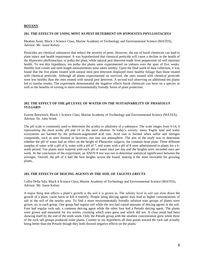#### **BOTANY**

#### **201. THE EFFECTS OF USING MINT AS PEST DETERRENT ON** *HYPOESTES PHYLLOSTACHYA*

Meahan Azmi, Block 1 Science Class, Marine Academy of Technology and Environmental Science (MATES), Advisor: Mr. Jason Kelsey

Pesticides are chemical substances that reduce the severity of pests. However, the use of harsh chemicals can lead to plant injury and health impairment. It was hypothesized that chemical pesticide will cause a decline in the health of the *Hypoestes phyllostachya*, or polka dot plant, while natural pest deterrent made from peppermint oil will maintain health. To test this hypothesis, ten polka dot plants were experimented on indoors over the span of five weeks. Healthy leaf counts and stem length measurements were taken weekly. Upon the final week of data collection, it was found that the five plants treated with natural mint pest deterrent displayed more healthy foliage than those treated with chemical pesticide. Although all plants experimented on survived, the ones treated with chemical pesticide were less healthy than the ones treated with natural pest deterrent. A second trial observing an additional ten plants led to similar results. The experiment demonstrated the negative effects harsh chemicals can have on a species as well as the benefits of turning to more environmentally friendly forms of plant protection.

#### **202. THE EFFECT OF THE pH LEVEL OF WATER ON THE SUSTAINABILITY OF** *PHASEOLUS VULGARIS*

Everett Botwinick, Block 1 Science Class, Marine Academy of Technology and Environmental Science (MATES), Advisor: Dr. John Wnek

The pH scale is commonly used to determine the acidity or alkalinity of a substance. The scale ranges from 0-14, 0 representing the most acidic pH and 14 as the most alkaline. In today's society, many fragile land and water ecosystems are harmed by the pollutant-augmented acid rain. Acid rain is formed when sulfur and nitrogen compounds, such as ones formed in factories, rise into our atmosphere. The aim of the study was to determine whether the pH of water had an effect on the height of *Phaseolus vulgaris*, the common bean plant. Three different samples of water with a pH of 6, water with a pH of 7, and water with a pH of 8 were administered to plants for a 6week period. Ten plants were watered with each pH of water once per day and the heights were recorded once per week. At the conclusion of the experiment, an ANOVA test was run to determine statistical significance between the averages. Overall, the pH of 6 had the best heights across the board, making it the most favorable for growing plants..

#### **203. THE EFFECTS OF DEICING AGENTS IN THE SOIL OF** *TAGETES ERECTA*

Collin Della Sala, Block 4 Science Class, Marine Academy of Technology and Environmental Science (MATES), Advisor: Mr. Jason Kelsey

A major thing that affects a plant's growth is the soil it is grown in. The salinity level in soil can slow down the growth of a plant, cause harm or kill it entirely. People using deicing agents may lead to higher concentrations of salt in the soil of the nearby area. To find a more environmentally friendly solution nine groups of plants were grown, six in each group. One group had regular soil while the rest had varied amounts of deicing agents in the soil. Four had regular rock salt, a common deicing agent while the other four had a Petsafe deicing agent. The plants were grown and measured for ten weeks, counting which ones grew and which did not. A clear trend had been showing itself by the end of the tenth week. Only the Petsafe group with the smallest concentration grew while three of the rock salt groups produced some plants. Counter to my hypothesis all data points toward the rock salt actually being better than the Petsafe though they both showed negative effects on the plants.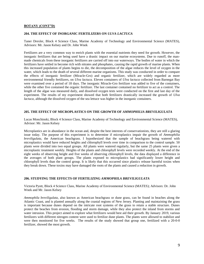#### **BOTANY (CONT"D)**

#### **204. THE EFFECT OF INORGANIC FERTILIZERS ON** *ULVA LACTUCA*

Taner Drexler, Block 4 Science Class, Marine Academy of Technology and Environmental Science (MATES), Advisors: Mr. Jason Kelsey and Dr. John Wnek

Fertilizers are a very common way to enrich plants with the essential nutrients they need for growth. However, the inorganic fertilizers that are being used have a drastic impact on our marine ecosystems. Due to runoff, the manmade chemicals from these inorganic fertilizers are carried off into our waterways. The bodies of water in which the fertilizers have settled in become rich with nitrates and phosphates, causing the rapid growth of marine plants. When this increased population of plants begins to die, the decomposition of the algae reduces the level of oxygen in the water, which leads to the death of several different marine organisms. This study was conducted in order to compare the effects of inorganic fertilizer (Miracle-Gro) and organic fertilizer, which are widely regarded as more environmental friendly fertilizers, on *Ulva lactuca.* Eleven containers of *Ulva lactuca* collected from Barnegat Bay were examined over a period of 18 days. The inorganic Miracle-Gro fertilizer was added to five of the containers, while the other five contained the organic fertilizer. The last container contained no fertilizer to act as a control. The length of the algae was measured daily, and dissolved oxygen tests were conducted on the first and last day of the experiment. The results of my experiment showed that both fertilizers drastically increased the growth of *Ulva lactuca*, although the dissolved oxygen of the sea lettuce was higher in the inorganic containers.

#### **205. THE EFFECT OF MICROPLASTICS ON THE GROWTH OF** *AMMOPHILIA BREVILIGULATA*

Lucas Monchinski, Block 4 Science Class, Marine Academy of Technology and Environmental Science (MATES), Advisor: Mr. Jason Kelsey

Microplastics are in abundance in the ocean and, despite the best interests of conservationists, they are still a glaring issue today. The purpose of this experiment is to determine if microplastics impair the growth of *Ammophilia breviligulata*, the American beachgrass. I hypothesized that the sample of beachgrass being watered with microplastics would have reduced heights and chlorophyll levels over time in comparison to the control sample. 50 plants were divided into two equal groups. All plants were watered regularly, but the same 25 plants were given a microplastic treatment weekly. Heights of the plants and chlorophyll levels were recorded weekly. At the end of the eight weeks of observing height and five weeks of observing chlorophyll levels, the data displayed a difference in the averages of both plant groups. The plants exposed to microplastics had significantly lower height and chlorophyll levels than the control group. It is likely that this occurred since plastics release harmful toxins when they break down. These toxins may have damaged the roots of the plants and caused a reduction in growth.

#### **206. STUDYING THE EFFECTS OF FERTILIZING** *AMMOPHILA BREVILIGULATA*

Victoria Pyott, Block 4 Science Class, Marine Academy of Environmental Science (MATES); Advisors: Dr. John Wnek and Mr. Jason Kelsey

*Ammophila breviligulata*, also known as American beachgrass or dune grass, can be found in beaches along the Atlantic Coast, and is planted annually along the coastal regions of New Jersey. Planting and maintaining the grass is important because dunes depend on the intricate root systems of the grass to retain a stable structure. Dunes protect the beaches from erosion, flooding and storm damage, while they also protect the inland from storms and water intrusion. This project aimed to explore what fertilizers would best aid their growth. By January 2019, various fertilizers with different nitrogen content were used to fertilize dune plants. The plants were allowed to stabilize and were then monitored for five weeks. The results of the study showed that group one, fertilized with a 20-0-0 fertilizer, showed the most growth.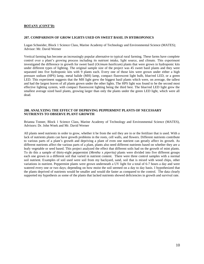#### **BOTANY (CONT'D)**

#### **207. COMPARISON OF GROW LIGHTS USED ON SWEET BASIL IN HYDROPONICS**

Logan Schneider, Block 1 Science Class, Marine Academy of Technology and Environmental Science (MATES); Advisor: Mr. David Werner

Vertical farming has become an increasingly popular alternative to typical rural farming. These farms have complete control over a plant's growing process including its nutrient intake, light source, and climate. This experiment investigated the difference in growth for sweet basil (*Ocimum basilicum*) plants that were grown in hydroponic kits under different types of lighting. The original sample size of the project was 45 sweet basil plants and they were separated into five hydroponic kits with 9 plants each. Every one of those kits were grown under either a high pressure sodium (HPS) lamp, metal halide (MH) lamp, compact fluorescent light bulb, blue/red LED, or a green LED. This experiment suggests that the MH light grew the biggest basil plants which were, on average, the tallest and had the largest leaves of all plants grown under the other lights. The HPS light was found to be the second most effective lighting system, with compact fluorescent lighting being the third best. The blue/red LED light grew the smallest average sized basil plants, growing larger than only the plants under the green LED light, which were all dead.

#### **208. ANALYZING THE EFFECT OF DEPRIVING PEPPERMINT PLANTS OF NECESSARY NUTRIENTS TO OBSERVE PLANT GROWTH**

Brianna Tonner, Block 1 Science Class, Marine Academy of Technology and Environmental Science (MATES), Advisors: Dr. John Wnek and Mr. David Werner

All plants need nutrients in order to grow, whether it be from the soil they are in or the fertilizer that is used. With a lack of nutrients plants can have growth problems in the roots, cell walls, and flowers. Different nutrients contribute to various parts of a plant's growth and depriving a plant of even one nutrient can greatly affect its growth. As different nutrients affect the various parts of a plant, plants also need different nutrients based on whether they are a leafy vegetable or seed based. This project analyzed the effect that different soils had on the growth of mint plants. To do this a sample of thirty-eight peppermint (*Mentha* x *piperita)* plants were divided into five different groups each one grown in a different soil that varied in nutrient content. There were three control samples with a normal soil nutrient. Examples of soil used were soil from my backyard, sand, soil that is mixed with wood chips, other variations in nutrient. Peppermint plants were grown underneath a UV light for a total of 6-7 hours a day and were watered every one or two days; depending on how moist the soil seemed on a day to day basis. I hypothesized that the plants deprived of nutrients would be smaller and would die faster as compared to the control. The data clearly supported my hypothesis as some of the plants that lacked nutrients showed deficiencies in growth and survival rate.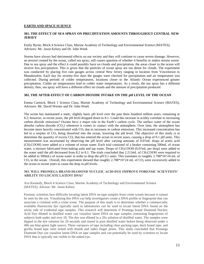#### **EARTH AND SPACE SCIENCE**

#### **301. THE EFFECT OF SEA SPRAY ON PRECIPITATION AMOUNTS THROUGHOUT CENTRAL NEW JERSEY**

Emily Byrne, Block 4 Science Class, Marine Academy of Technology and Environmental Science (MATES); Advisors: Mr. Jason Kelsey and Dr. John Wnek

Storms have always had detrimental effects on our society and they will continue to cause severe damage. However, an aerosol created by the ocean, called sea spray, still causes question of whether it benefits or makes storms worse. Due to sea spray and the effect it could possibly have on clouds and precipitation, the areas closer to the ocean will receive less precipitation. This is given that the particles of ocean spray are too dense for clouds. The experiment was conducted by placing five rain gauges across central New Jersey ranging in location from Vincentown to Manahawkin. Each day for seventy-five days the gauges were checked for precipitation and air temperature was collected. During periods of colder temperatures, locations closer to the Atlantic Ocean experienced greater precipitation. Colder air temperatures lead to colder water temperatures. As a result, the sea spray has a different density; thus, sea spray will have a different effect on clouds and the amount of precipitation produced.

#### **302. THE AFTER-EFFECT OF CARBON DIOXIDE INTAKE ON THE pH LEVEL OF THE OCEAN**

Emma Cartnick, Block 1 Science Class, Marine Academy of Technology and Environmental Science (MATES), Advisors: Mr. David Werner and Dr. John Wnek

The ocean has maintained a static, slightly basic pH level over the past three hundred million years, remaining at 8.2; however, in recent years, the pH level dropped down to 8.1. Could this increase in acidity correlate to increasing carbon dioxide emissions? Oceans have a major role in the Earth's carbon cycle. The surface water of the ocean absorbs carbon dioxide  $(CO_2)$  whenever it comes in contact with the atmosphere. Over time, the atmosphere has become more heavily concentrated with  $CO<sub>2</sub>$  due to increases in carbon emissions. This increased concentration has led to a surplus of  $CO_2$  being dissolved into the ocean, lowering the pH level. The objective of this study is to determine the quantity of excess  $CO<sub>2</sub>$  that has entered the ocean in recent years, causing a drop of 0.1 pH units. This measurement was ascertained by observing the pH level after varying amounts of 0.07mL drops of acetic acid (CH3COOH) were added to a volume of ocean water. Each trial consisted of a beaker containing 500mL of ocean water, a mixture fabricated from baking soda and tap water. Drops of CH<sub>3</sub>COOH (0.07mL per drop) were added to the water until the pH decreased from 8.2 to 8.1. The trials concluded that  $2.213 \text{mL}$  of CH<sub>3</sub>COOH were required to be added to 500mLs of ocean water in order to drop the pH 0.1 units. This translates to roughly 2.788\*10^24 mL of  $CO<sub>2</sub>$  in the ocean. Overall, this experiment showed that roughly 2.788\*10^24 mL of  $CO<sub>2</sub>$  were excessively added to the ocean in recent years to cause the drop in pH levels.

#### **303. WILL PROMEGA BRAND DIAMOND NUCLEIC ACID DYE IMPROVE FORENSIC SCIENTISTS' ABILITY TO LOCATE LATENT DNA?**

Ava Kennedy, Block 4 Science Class, Marine Academy of Technology and Environmental Science (MATES), Advisor: Mr. Jason Kelsey

Forensic scientists face difficulty locating latent DNA on tape samples from crime scenes because it cannot be seen by the eye. Visualizing this DNA can help investigators create a DNA profile or fingerprint that can associate a criminal with a crime scene. The purpose of this study is to determine whether a commercially available fluorescent dye typically used in laboratories can be used to locate latent DNA found on the sticky side of evidential tape samples. This research will determine if Promega brand Diamond Nucleic Acid Dye diluted in distilled water can visualize latent DNA on tape samples containing fingerprints of subjects both under and over 18. The dye was diluted in a 20x solution of distilled water. The samples were dipped in the dye solution for 20 seconds and rinsed in pure distilled water before being observed under a 496 nm blue-green light source. Three variances of tape including clear packing tape, duck brand tape, and gorilla brand tape were tested with thumb and index finger prints. This study concluded that Promega Diamond Dye can visualize latent DNA on tape samples and can potentially be used by scientists to locate DNA that is typically not visible to the naked eye.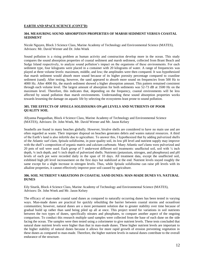#### **EARTH AND SPACE SCIENCE (CONT'D)**

#### **304. MEASURING SOUND ABSORPTION PROPERTIES OF MARSH SEDIMENT VERSUS COASTAL SEDIMENT**

Nicole Nguyen, Block 3 Science Class, Marine Academy of Technology and Environmental Science (MATES), Advisors: Mr. David Werner and Dr. John Wnek

Sound pollution is a rising problem as human activity and construction develop more in the ocean. This study compares the sound absorption properties of coastal sediment and marsh sediment, collected from Brant Beach and Sedge Island respectively, to analyze sound pollution's impact on the organisms of these environments. For each sediment type, four kilograms were placed in a container with 20 kilograms of water. A range of frequencies was played at three volume levels: maximum, middle, and low; the amplitudes were then compared. It was hypothesized that marsh sediment would absorb more sound because of its higher porosity percentage compared to coastline sediment (sand). After testing, however, the sand appeared to absorb more sound on frequencies from 500 Hz to 4000 Hz. After 4000 Hz, the marsh sediment showed a higher absorption amount. This pattern remained consistent through each volume level. The largest amount of absorption for both sediments was 52-73 dB at 3500 Hz on the maximum level. Therefore, this indicates that, depending on the frequency, coastal environments will be less affected by sound pollution than marsh environments. Understanding these sound absorption properties works towards lessening the damage on aquatic life by selecting the ecosystems least prone to sound pollution.

#### **305. THE EFFECTS OF** *SPISULA SOLIDISSIMA* **ON pH LEVELS AND NUTRIENTS OF POOR QUALITY SOIL**

Allyanna Panganiban, Block 4 Science Class, Marine Academy of Technology and Environmental Science (MATES), Advisors: Dr. John Wnek, Mr. David Werner and Mr. Jason Kelsey

Seashells are found in many beaches globally. However, bivalve shells are considered to have no main use and are often regarded as waste. Their improper disposal on beaches generates debris and wastes natural resources. A third of the Earth's land is also infertile due to agriculture. To answer this, I hypothesized that by adding pulverized shells of the Atlantic surf clam, *Spisula solidissima*, in poor quality soil, its low pH level and nutrient supply may improve with the shell's composition of organic matrix and calcium carbonate. Many Atlantic surf clams were pulverized and 20 pots of soil were used. Each group of 5 underwent different soil treatments: unaffected soil, soil with ⅛ inch depth,  $\frac{1}{4}$  inch depth, and  $\frac{1}{2}$  inch depth of pulverized shells. Nutrients (potassium, nitrogen, and phosphorus) and pH levels of each pot were recorded daily in the span of 10 days. All treatment data, except the unaffected soil, exhibited high pH level increasement on the first days but stabilized at the end. Nutrient levels stayed roughly the same except for a slight increase in nitrogen levels. Thus, while *Spisula solidissima* can raise pH levels with its alkaline properties, it cannot effectively improve poor soil caused by agriculture.

#### **306. SOIL NUTRIENT VARIATIONS IN COASTAL SAND DUNES: MAN-MADE DUNES VS. NATURAL DUNES**

Eily Sitarik, Block 4 Science Class, Marine Academy of Technology and Environmental Science (MATES), Advisors: Dr. John Wnek and Mr. Jason Kelsey

The efficacy of man-made coastal sand dunes as compared to naturally occurring dunes has been tested in varying ways. Man-made dunes are practical for quickly rebuilding the barrier between coastal storms and oceanfront communities; however, natural dunes are a more permanent solution due to greater stability over time because of gradual build up rather than sand being piled up all at once. This project tested for variations in soil nutrients between the two types of dunes, specifically nitrates and phosphates, to compare another aspect of the ongoing comparison. To conduct this research multiple sand samples were collected from the base of each dune on the side facing the ocean. The samples were then tested using a colorimeter to give nutrient levels. These tests concluded that natural dune nutrient levels were higher than that in man-made dunes. These higher nutrient levels are important to the higher stability of natural dunes because it allows for more rapid growth of erosion preventing vegetation in these dunes as compared to man-made. Therefore, the higher nutrient levels in natural dunes contribute to the overall endurance of the structure.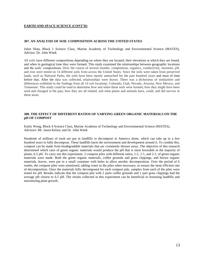#### **EARTH AND SPACE SCIENCE (CONT'D)**

#### **307. AN ANALYSIS OF SOIL COMPOSITION ACROSS THE UNITED STATES**

Juliet Slota, Block 1 Science Class, Marine Academy of Technology and Environmental Science (MATES), Advisor: Dr. John Wnek

All soils have different compositions depending on where they are located, their elevations at which they are found, and when in geological time they were formed. This study examined the relationships between geographic locations and the soils' compositions. Over the course of several months, composition, organics, conductivity, moisture, pH, and iron were tested on 14 different soils from across the United States. Since the soils were taken from preserved lands, such as National Parks, the soils have been mostly untouched for the past hundred years and most of time before that. After the data was collected, relationships were drawn. There was a dichotomy of similarities and differences exhibited in the findings from all 14 soil locations; Colorado, Utah, Nevada, Arizona, New Mexico, and Tennessee. This study could be used to determine how and when these soils were formed, how they might have been used and changed in the past, how they are all related, and what plants and animals have, could, and did survive in these areas.

#### **308. THE EFFECT OF DIFFERENT RATIOS OF VARYING GREEN ORGANIC MATERIALS ON THE pH OF COMPOST**

Emily Wong, Block 4 Science Class, Marine Academy of Technology and Environmental Science (MATES), Advisors: Mr. Jason Kelsey and Dr. John Wnek

Hundreds of millions of trash are put in landfills to decompose in America alone, which can take up to a few hundred years to fully decompose. These landfills harm the environment and development around it. To combat this, compost can be made from biodegradable materials that are commonly thrown away. The objective of this research determined which ratio of green organic materials would produce the pH that is most favorable to the majority of plants, 6.5 pH. To carry out this experiment, 3 compost piles with different ratios, 1:2, 1:1, and 2:1, of green organic materials were made. Both the green organic materials, coffee grounds and grass clippings, and brown organic materials, leaves, were put in a small container with holes to allow aerobic decomposition. Over the period of 6 weeks, the compost piles were monitored, adding water to the piles when necessary, to ensure the most efficient rate of decomposition. Once the materials fully decomposed for each compost pile, samples from each of the piles were tested for pH. Results indicate that the compost pile with 2 parts coffee grounds and 1 part grass clippings had the average pH closest to 6.5 pH. The results collected in this experiment can be beneficial to lessening landfills and maximizing plant growth.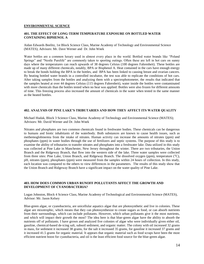#### **ENVIRONMENTAL SCIENCE**

#### **401. THE EFFECT OF LONG-TERM TEMPERATURE EXPOSURE ON BOTTLED WATER CONTAINING BIPHENOL A**

Aidan Edwards Beelitz, 1st Block Science Class, Marine Academy of Technology and Environmental Science (MATES); Advisors: Mr. Dave Werner and Dr. John Wnek

Water bottles are a common luxury used in almost every place in the world. Bottled water brands like "Poland Springs" and "Nestle Purelife" are commonly taken to sporting outings. Often these are left in hot cars on sunny days where the temperatures can reach upwards of 38 degrees Celsius (100 degrees Fahrenheit). These bottles are made up of many different chemicals, notably, BPA or Bisphenol A. Heat contained in the cars have enough energy to break the bonds holding the BPA in the bottles, and BPA has been linked to causing breast and ovarian cancers. By heating bottled water brands in a controlled incubator, the test was able to replicate the conditions of hot cars. After taking samples from the bottles and analyzing them with a spectrophotometer, the results that indicated that the samples heated at over 44 degrees Celsius (115 degrees Fahrenheit), water inside the bottles were contaminated with more chemicals than the bottles tested when no heat was applied. Bottles were also frozen for different amounts of time. This freezing process also increased the amount of chemicals in the water when tested in the same manner as the heated bottles.

#### **402. ANALYSIS OF PINE LAKE'S TRIBUTARIES AND HOW THEY AFFECT ITS WATER QUALITY**

Michael Hudak, Block 3 Science Class, Marine Academy of Technology and Environmental Science (MATES); Advisors: Mr. David Werner and Dr. John Wnek

Nitrates and phosphates are two common chemicals found in freshwater bodies. These chemicals can be dangerous to humans and biotic inhabitants of the waterbody. Both substances are known to cause health issues, such as methemoglobinemia from the intake of nitrates. Human activity can increase the amounts of nitrates (ppm) and phosphates (ppm) in water bodies through the use of fertilizers and septic systems. The purpose of this study is to examine the ability of tributaries to transfer nitrates and phosphates into a freshwater lake. Data utilized in this study was collected at Pine Lake in Manchester, New Jersey throughout the winter. There are two tributaries, the Union Branch and the Ridgeway Branch, that flow into the western side of the lake. Three water samples were collected from three sites: Pine Lake, Union Branch, and Ridgeway Branch. The dissolved oxygen (ppm), temperature ( $^{\circ}$ C), pH, nitrates (ppm), phosphates (ppm) were measured from the samples within 24 hours of collection. In this study, each location was compared to the others to view differences in the parameters. The results of this study show that the Union Branch and Ridgeway Branch have a significant impact on the water quality of Pine Lake.

#### **403. HOW DOES COMMON URBAN RUNOFF POLLUTANTS AFFECT THE GROWTH AND DEVELOPMENT OF CYANOBACTERIA?**

Logan Johnston, Block 4 Science Class, Marine Academy of Technological and Environmental Science (MATES), Advisor: Mr. Jason Kelsey

Blue-green algae, or cyanobacteria, are unicellular aquatics algae that are photosynthetic and live in colonies. These algae are mixotrophic, which means that they can photosynthesize to create sugars as food, or can absorb nutrients from their surroundings, which can include pollutants. However, which urban pollutants give it the most nutrients, and which will impact their growth the most? The idea here is that blue-green algae have the ability to absorb the nutrients off of pollutants. I have grown and analyzed five colonies of algae who were individually given either oil, gasoline, chemical-based de-icing salt, subsoil sediment, and organic matter. The colony with oil increased 32 grams in mass, for sediment it increased 38 grams, for the salt it increased 35 grams, for gasoline it increased 37 grams and it increased 41.5 grams for organic material. It appears that organic material such as food scraps have been the most efficient nutrient boost for cyanobacteria, and oil is the least efficient food source for the blue-green algae.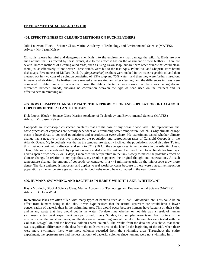#### **ENVIRONMENTAL SCIENCE (CONT'D)**

#### **404. EFFECTIVENESS OF CLEANING METHODS ON DUCK FEATHERS**

Julia Lokerson, Block 1 Science Class, Marine Academy of Technology and Environmental Science (MATES), Advisor: Mr. Jason Kelsey

Oil spills release harmful and dangerous chemicals into the environment that damage the wildlife. Birds are one such animal that is affected by these events, due to the effect it has on the alignment of their feathers. There are several known methods of cleaning oiled birds, such as using Dawn soap, but are there other brands that could clean them just as effectively, if not better? Three brands were but to the test: Ajax, Palmolive, and Shoprite store brand dish soaps. Five ounces of Mallard Duck (*A. platyrhynchos*) feathers were soaked in two cups vegetable oil and then cleaned out in two cups of a solution consisting of 25% soap and 75% water; and then they were further rinsed out in water and air dried. The feathers were massed after soaking and after cleaning, and the differences in mass were compared to determine any correlation.. From the data collected it was shown that there was no significant difference between brands, showing no correlation between the type of soap used on the feathers and its effectiveness in removing oil.

#### **405. HOW CLIMATE CHANGE IMPACTS THE REPRODUCTION AND POPULATION OF CALANOID COPEPODS IN THE ATLANTIC OCEAN**

Kyle Lopes, Block 4 Science Class, Marine Academy of Technology and Environmental Science (MATES) Advisor: Mr. Jason Kelsey

Copepods are microscopic crustacean creatures that are the base of any oceanic food web. The reproduction and basic processes of copepods are heavily dependent on surrounding water temperature, which is why climate change poses a huge threat to copepod populations and reproduction everywhere. My experiment tested whether climate change has a negative or positive impact on the population and reproduction rates of Calanoid Copepods in the Atlantic Ocean. My hypothesis was that as the temperature steadily inclined, the populations would also rise. To test this, I set up a tank with saltwater, and set it to 62°F (16°C), the average oceanic temperature in the Atlantic Ocean. Then, Calanoid copepods and phytoplankton were added into the tank and I allowed them to acclimate for two days. Over a span of two weeks, or 14 days, I increased the temperature in the tank slowly to match the possible effects of climate change. In relation to my hypothesis, my results supported the original thought and expectations. At each temperature change, the amount of copepods concentrated in a 4x4 millimeter grid on the microscope grew more dense. The data gathered is important and applies to real world concerns because if there were a negative impact on population as the temperature grew, the oceanic food webs would have collapsed in the near future.

#### **406. HUMANS, SWIMMING, AND BACTERIA IN HARRY WRIGHT LAKE, WHITING, NJ**

Kayla Murdock, Block 4 Science Class, Marine Academy of Technology and Environmental Science (MATES), Advisor: Dr. John Wnek

Recreational lakes are often filled with many types of bacteria such as *E. coli*, *Salmonella*, etc. This could be an effect from humans being in the lake. It was hypothesized that the natural upstream are would have a lower concentration of bacteria than in the swimming area. This would occur because humans have bacteria on their skin, and in any waste that they would put in the water. To determine whether or not this was a result of human swimmers, a ten week experiment was performed. Every Sunday, two samples were taken from points in the upstream area, the midstream area, and the designated swimming area of the lake. The samples were tested with the Coliscan Easygel kit, and the bacterial colonies were counted. The results from the data analysis show, that there was a significant difference in the data from the midstream area of the lake. In the beginning of the trial, when there were more swimmers, there were more colonies recorded from the swimming area. Throughout the entire experiment, the upstream area had the least amount of bacterial colonies since humans were not swimming in it.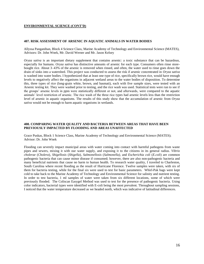#### **ENVIRONMENTAL SCIENCE (CONT'D)**

#### **407. RISK ASSESSMENT OF ARSENIC IN AQUATIC ANIMALS IN WATER BODIES**

Allyssa Panganiban, Block 4 Science Class, Marine Academy of Technology and Environmental Science (MATES), Advisors: Dr. John Wnek, Mr. David Werner and Mr. Jason Kelsey

*Oryza sativa* is an important dietary supplement that contains arsenic: a toxic substance that can be hazardous, especially for humans. *Oryza sativa* has distinctive amounts of arsenic for each type. Consumers often rinse storebought rice. About 3–43% of the arsenic is removed when rinsed, and often, the water used to rinse goes down the drain of sinks into a watershed. This project was conducted to assess the risk if arsenic concentrated in *Oryza sativa* is washed into water bodies. I hypothesized that at least one type of rice, specifically brown rice, would have enough levels to negatively affect the organisms in adjacent wetland areas to the water bodies of disposition. To determine this, three types of rice (long-grain white, brown, and basmati), each with five sample sizes, were tested with an Arsenic testing kit. They were washed prior to testing, and the rice wash was used. Statistical tests were run to see if the groups' arsenic levels in ppm were statistically different or not, and afterwards, were compared to the aquatic animals' level restriction of arsenic. The rice wash of the three rice types had arsenic levels less than the restriction level of arsenic in aquatic organisms. The results of this study show that the accumulation of arsenic from *Oryza sativa* would not be enough to harm aquatic organisms in wetlands.

#### **408. COMPARING WATER QUALITY AND BACTERIA BETWEEN AREAS THAT HAVE BEEN PREVIOUSLY IMPACTED BY FLOODING AND AREAS UNAFFECTED**

Grace Puskas, Block 1 Science Class, Marine Academy of Technology and Environmental Science (MATES); Advisor: Dr. John Wnek

Flooding can severely impact municipal areas with water coming into contact with harmful pathogens from waste pipes and sewers, mixing it with our water supply, and exposing it to the citizens in its general radius. *Vibrio cholerae* (*Cholera*), *Shigellosis* (*Shigella*), *Salmonellosis* (*Salmonella)*, and *Escherichia coli* (*E.coli*) are common pathogenic bacteria that can cause minor disease if consumed; however, there are also non-pathogenic bacteria and many beneficial nutrients that cause no harm to human health. To research water quality, I traveled to Charleston, South Carolina where recent flooding as the result of Hurricane Florence. Twelve samples were taken, with six of them for bacteria testing, while for the final six were used to test for basic parameters. Whirl-Pak bags were kept cold to take back to the Marine Academy of Technology and Environmental Science for salinity and nutrient testing. In order to test bacteria, 1 ml samples of water were taken from six different locations, some of which were previously flooded. The Coliscan Easygel Method was used to test for the presence of pathogenic bacteria. Using color indicators, bacterial types were identified with E-coli being the most prevalent. Throughout sampling sessions, I noticed that the water temperature decreased as we headed north, which was indicative of latitudinal differences.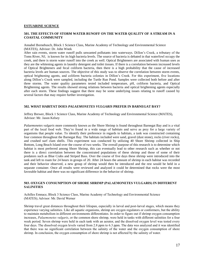#### **ESTUARINE SCIENCE**

#### **501. THE EFFECTS OF STORM WATER RUNOFF ON THE WATER QUALITY OF A STREAM IN A COASTAL COMMUNITY**

#### Annabel Bornebusch, Block 1 Science Class, Marine Academy of Technology and Environmental Science (MATES), Advisor: Dr. John Wnek

After rain events, storm water runoff pulls unwanted pollutants into waterways. Dillon's Creek, a tributary of the Toms River, NJ, is known for its high bacteria levels. The source of bacteria is debated in that waterfowl occupy the creek, and there is storm water runoff into the creek as well. Optical Brighteners are associated with human uses as they are the whitening agents in laundry detergent and toilet tissues. If there is a correlation between increased levels of Optical Brighteners and fecal coliform bacteria, then there is a high probability that the cause of increased bacteria levels are human sources. The objective of this study was to observe the correlation between storm events, optical brightening agents, and coliform bacteria colonies in Dillon's Creek. For this experiment, five locations along Dillon's Creek were sampled, including the Turtle Run Pond. Samples were collected both before and after three storms. The water quality parameters tested included temperature, pH, coliform bacteria, and Optical Brightening agents. The results showed strong relations between bacteria and optical brightening agents especially after each storm. These findings suggest that there may be some underlying issues relating to runoff caused by several factors that may require further investigation.

#### **502. WHAT HABITAT DOES** *PALAEMONETES VULGARIS* **PREFER IN BARNEGAT BAY?**

Jeffrey Brewer, Block 1 Science Class, Marine Academy of Technology and Environmental Science (MATES), Advisor: Mr. Jason Kelsey

*Palaemonetes vulgaris* more commonly known as the Shore Shrimp is found throughout Barnegat Bay and is a vital part of the local food web. They're found in a wide range of habitats and serve as prey for a large variety of organisms that people value. To identify their preference in regards to habitats, a tank was constructed containing four common throughout the Barnegat Bay. The habitats included were sand, gravel (dust stone), rocks (river rocks), and crushed surf clam shells. This experiment was conducted by utilizing 40 Shore Shrimp collected in Ship Bottom, Long Beach Island over the course of two weeks. The overall purpose of this research is to determine which habitat is most preferred among Shore Shrimp, this can eventually lead to other research such as whether or not there is a direct correlation between the concentrated populations of these shrimp and those of some of their predators such as Blue Crabs and Striped Bass. Over the course of five days these shrimp were introduced into the tank and left to roam for 24 hours in groups of 20. After 24 hours the amount of shrimp in each habitat was recorded and their behavior observed, a new group of shrimp would then be introduced and the rest would be held in a separate container. Once all results were reviewed and analyzed it could be determined that rocks were the most favorable habitat and there was no significant difference in the behavior of shrimp.

#### **503. OXYGEN CONSUMPTION OF SHORE SHRIMP (PALAEMONETES VULGARIS) IN DIFFERENT SALINITIES**

Achilles Emnace, Block 3 Science Class, Marine Academy of Technology and Environmental Science (MATES); Advisor: Mr. David Werner

Shrimp travel great distances throughout their lifespan, especially in larval and post-larval stages, which means they experience varying salinities. Like all aquatic organisms, shrimp are oxygen regulators or conformers, but the ability to maintain metabolism in different environments differentiates. In order to figure out if shrimp oxygen consumption increases, *Palaemonetes vulgaris*, or the common shore shrimp, were held in tanks with different salinities for a four week period. Seven shrimp were held in each tank with an aerator, and the dissolved oxygen level was tested every four days. The dissolved oxygen levels varied from 2.8 ppm to 6.3 ppm. The data was analyzed and it was identified that there was no significant correlation between the salinity of the water and the oxygen consumption of shore shrimp. In conclusion, the oxygen consumption of shore shrimp is not affected by the salinity of water.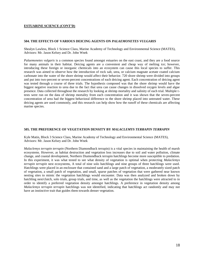#### **ESTUARINE SCIENCE (CONT'D)**

#### **504. THE EFFECTS OF VARIOUS DEICING AGENTS ON** *PALAEMONETES VULGARIS*

Shealyn Lawless, Block 1 Science Class, Marine Academy of Technology and Environmental Science (MATES), Advisors: Mr. Jason Kelsey and Dr. John Wnek

*Palaemonetes vulgaris* is a common species found amongst estuaries on the east coast, and they are a food source for many animals in their habitat. Deicing agents are a convenient and cheap way of melting ice; however, introducing these foreign or inorganic chemicals into an ecosystem can cause this local species to suffer. This research was aimed to observe how the introduction of rock salt, urea, or calcium magnate acetate coated calcium carbonate into the water of the shore shrimp would affect their behavior. 720 shore shrimp were divided into groups and put into two-percent or seven-percent concentrations of each deicing agent. Each concentration of deicing agent was tested through a course of three trials. The hypothesis composed was that the shore shrimp would have the biggest negative reaction to urea due to the fact that urea can cause changes in dissolved oxygen levels and algae presence. Data collected throughout the research by looking at shrimp mortality and salinity of each trial. Multiple ttests were run on the data of shrimp mortality from each concentration and it was shown that the seven-percent concentration of urea had the biggest behavioral difference to the shore shrimp placed into untreated water. These deicing agents are used commonly, and this research can help show how the runoff of these chemicals are affecting marine species.

#### **505. THE PREFERENCE OF VEGETATION DENSITY BY** *MALACLEMYS TERRAPIN TERRAPIN*

Kyle Matin, Block 3 Science Class, Marine Academy of Technology and Environmental Science (MATES), Advisors: Mr. Jason Kelsey and Dr. John Wnek

*Malaclemys terrapin terrapin* (Northern Diamondback terrapin) is a vital species in maintaining the health of marsh ecosystems. However, as habitat destruction and vegetation loss increases due to soil and water pollution, climate change, and coastal development, Northern Diamondback terrapin hatchlings become more susceptible to predation. In this experiment, it was what tested to see what density of vegetation is optimal when protecting *Malaclemys terrapin terrapin* nest ecosystems, A total of nine solo hatchlings and nine groups of three hatchlings were used. Hatchlings were placed in an enclosure that contained sand and a large patch of vegetation, a moderately sized patch of vegetation, a small patch of vegetation, and small, sparse patches of vegetation that were gathered near known nesting sites to mimic the vegetation hatchlings would encounter. Data was then analyzed and broken down by hatchling nest/clutch, solo trials, group trials, and time, as well as the vegetation the hatchlings were attracted to in order to identify a preferred vegetation density amongst hatchlings. A preference in vegetation density among *Malaclemys terrapin terrapin* hatchlings was not identified, indicating that hatchlings act randomly and may not have an instinctive trait that guides them towards denser vegetation.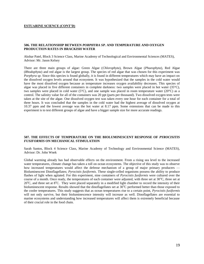#### **ESTUARINE SCIENCE (CONT'D)**

#### **506. THE RELATIONSHIP BETWEEN** *PORPHYRA SP.* **AND TEMPERATURE AND OXYGEN PRODUCTION RATES IN BRACKISH WATER**

Akshar Patel, Block 3 Science Class, Marine Academy of Technological and Environmental Sciences (MATES), Advisor: Mr. Jason Kelsey

There are three main groups of algae: Green Algae (*Chlorophyta*), Brown Algae (*Phaeophyta*), Red Algae (*Rhodophyta*) and red algae is the largest group. The species of red algae that was chosen for this experiment was *Porphyra sp.* Since this species is found globally, it is found in different temperatures which may have an impact on the dissolved oxygen levels around that ecosystem. It was hypothesized that the samples in the cold water would have the most dissolved oxygen because as temperature increases oxygen availability decreases. This species of algae was placed in five different containers in complete darkness: two samples were placed in hot water ( $35^{\circ}$ C), two samples were placed in cold water (5°C), and one sample was placed in room temperature water (20°C) as a control. The salinity value for all of the containers was 20 ppt (parts per thousand). Two dissolved oxygen tests were taken at the site of the algae. One dissolved oxygen test was taken every one hour for each container for a total of three hours. It was concluded that the samples in the cold water had the highest average of dissolved oxygen at 10.37 ppm and the lowest average was the hot water at 8.17 ppm. Some extensions that can be made to this experiment is to test different groups of algae and have a bigger sample size for more accurate readings.

#### **507. THE EFFECTS OF TEMPERATURE ON THE BIOLUMINESCENT RESPONSE OF** *PYROCISITIS FUSIFORMIS* **ON MECHANICAL STIMULATION**

Sarah Santos, Block 4 Science Class, Marine Academy of Technology and Environmental Science (MATES), Advisor: Dr. John Wnek

Global warming already has had observable effects on the environment. From a rising sea level to the increased water temperatures, climate change has taken a toll on ocean ecosystems. The objective of this study was to observe how increased temperatures would affect the defense mechanism of a group of major primary producers — Bioluminescent Dinoflagellates; *Pyrocistis fusiformis*. These single-celled organisms possess the ability to produce flashes of light when agitated. For this experiment, nine containers of *Pyrocistis fusiformis* were cultured over the course of a month. Once ready, the temperatures of each container were adjusted, with three set at  $30^{\circ}$ C, three set at  $20^{\circ}$ C, and three set at  $8^{\circ}$ C. They were placed separately in a modified light chamber to record the intensity of their bioluminescent response. Results showed that the dinoflagellates set at 30°C performed better than those exposed to the cooler temperatures. This study suggests that as ocean temperatures rise to a certain point, *Pyrocistis fusiformis*  will not only survive, but their bioluminescence intensity will increase as well. Dinoflagellates are essential to marine ecosystems and understanding how increased temperatures will affect them is extremely beneficial because of their crucial role in the food chain.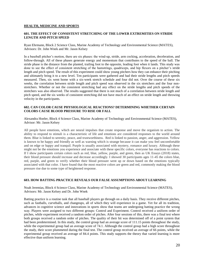#### **HEALTH, MEDICINE AND SPORTS**

#### **601. THE EFFECT OF CONSISTENT STRETCHING OF THE LOWER EXTREMITIES ON STRIDE LENGTH AND PITCH SPEED**

Ryan Ehrmann, Block 2 Science Class, Marine Academy of Technology and Environmental Science (MATES), Advisors: Dr. John Wnek and Mr. Jason Kelsey

In a baseball pitcher's motion, there are six phases: the wind-up, stride, arm cocking, acceleration, deceleration, and follow-through. All of these phases generate energy and momentum that contributes to the speed of the ball. The stride phase is the distance from the planted, trailing foot to the opposite, leading foot when it lands. This study was done to see the effect of consistent stretching of the hamstrings, quadriceps, and hip flexors on a pitcher's stride length and pitch speed. The result of this experiment could show young pitchers how they can enhance their pitching and ultimately bring it to a new level. Ten participants were gathered and had their stride lengths and pitch speeds measured. Then, six went home with a six-week stretch schedule and four did not. Over the course of these six weeks, the correlation between stride length and pitch speed was observed in the six stretchers and the four nonstretchers. Whether or not the consistent stretching had any effect on the stride lengths and pitch speeds of the stretchers was also observed. The results suggested that there is not much of a correlation between stride length and pitch speed, and the six weeks of consistent stretching did not have much of an effect on stride length and throwing velocity in the participants.

#### **602. CAN COLOR CAUSE PHYSIOLOGICAL REACTIONS? DETERMINING WHETHER CERTAIN COLORS CAUSE BLOOD PRESSURE TO RISE OR FALL**

Alexandra Hoeler, Block 4 Science Class, Marine Academy of Technology and Environmental Science (MATES), Advisor: Mr. Jason Kelsey

All people have emotions, which are neural impulses that create response and move the organism to action. The ability to respond to stimuli is a characteristic of life and emotions are considered responses to the world around them. Blue is linked to serenity, peace, and trustworthiness. Red is linked to passion, anger, and aggression. Yellow is known to be happy and friendly as well as warning which is strange because it can make you feel uncomfortable and on edge or happy and tranquil. Purple is usually associated with mystery, romance and luxury. Although these might not be the emotions you experience and associate with these specific colors, everyone has reactions to colors. If I show participants certain colors such as red, blue, yellow, purple, and green, then as UK Essays (2018) states, their blood pressure should increase and decrease accordingly. I showed 30 participants ages 11-45 the colors blue, red, purple, and green to verify whether their blood pressure went up or down based on the emotions typically associated with that color. I have found that the most reactive colors are green and red, commonly making the blood pressure rise due to some type of heightened response.

#### **603. HOW BATTING PRACTICE REVEALS OUR FALSE ASSUMPTIONS ABOUT LEARNING**

Noah Jeremias, Block 4 Science Class, Marine Academy of Technology and Environmental Science (MATES), Advisors: Mr. Jason Kelsey and Dr. John Wnek

Batting practice is a routine task that all baseball players go through on a daily basis. They receive different pitches, such as fastballs, curveballs, and changeups, all of which they will experience in a game. Yet for all its tradition, advances in cognitive science and innovations in sports show that teams are undergoing batting practice the wrong way. Players were assigned to two different groups: Control and Experiment. Control received a uniform order of pitches, while experiment received a random order of pitches. After four sessions of this, there was a final test where both groups received a random order of pitches. The quality of their hit was determined off of a point system that had been predetermined. In this study, the control group had an average score of 111.15 points throughout the study, while the experimental group had an average score of 74.1. Although the control group had a high score throughout the study, their score plummeted during the final test. The control group received an average of 66 points, while the experimental group received an average of 84.4 points. This study supports the theory that varied learning is more effective than uniform learning.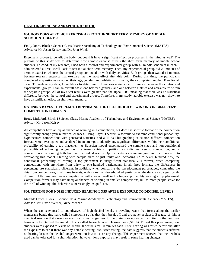#### **HEALTH, MEDICINE AND SPORTS (CONT'D)**

#### **604. HOW DOES AEROBIC EXERCISE AFFECT THE SHORT TERM MEMORY OF MIDDLE SCHOOL STUDENTS?**

Emily Jones, Block 4 Science Class, Marine Academy of Technology and Environmental Science (MATES), Advisors: Mr. Jason Kelsey and Dr. John Wnek

Exercise is proven to benefit the body, but could it have a significant effect on processes in the mind as well? The purpose of this study was to determine how aerobic exercise affects the short term memory of middle school students. To conduct my research, I had both a control and experimental group with 45 middle schoolers in each. I administered a Free Recall Task to test initial short term memory. Then, my experimental group did 20 minutes of aerobic exercise, whereas the control group continued on with daily activities. Both groups then waited 11 minutes because research supports that exercise has the most effect after this point. During this time, the participants completed a questionnaire about their age, gender, and athleticism. Finally, they completed another Free Recall Task. To analyze my data, I ran t-tests to determine if there was a statistical difference between the control and experimental groups. I ran an overall t-test, one between genders, and one between athletes and non-athletes within the separate groups. All of my t-test results were greater than the alpha, 0.05, meaning that there was no statistical difference between the control and experimental groups. Therefore, in my study, aerobic exercise was not shown to have a significant effect on short term memory.

#### **605. USING BAYES THEOREM TO DETERMINE THE LIKELIHOOD OF WINNING IN DIFFERENT COMPETITION FORMATS**

Brody Littleford, Block 4 Science Class, Marine Academy of Technology and Environmental Science (MATES); Advisor: Mr. Jason Kelsey

All competitors have an equal chance of winning in a competition, but does the specific format of the competition significantly change your numerical chances? Using Bayes Theorem, a formula to examine conditional probability, hypothesized competitions with generated statistics, and a TI-83 Plus graphing calculator, different competition formats were investigated and analyzed in an attempt to identify any significant differences within their conditional probability of earning a top placement. A Bayesian model encompassed the sample sizes and non-conditional probability of achieving recognition in a team centric competition, an individual centric competition, and a competition incorporating both team and individual results. Optimal statistics were analyzed and incorporated into developing this model. Starting with sample sizes of just thirty and increasing up to seven hundred fifty, the conditional probability of earning a top placement is insignificant statistically. However, when comparing competitions with anywhere from thirty to one-hundred participants, in all three formats, the differences in percentage are statistically different. In addition, when comparing the top placement percentages, comparing the data from competitions, in all three formats, with more than three-hundred participants, the data is also significantly different. After analysis, team competitions will always result in the highest probability earning a top placement. Competition formats may have unequal chances of winning in smaller competitions, but as more people strive for the thrill of winning, this behavior is increasingly insignificant.

#### **606. TESTING FOR NOISE INDUCED HEARING LOSS AFTER EXPOSURE TO DECIBEL LEVELS**

Miranda Lynch, Block 1 Science Class, Marine Academy of Technology and Environmental Science (MATES), Advisor: Mr. David Werner, Nurse Meehan

When the ear is exposed to soundwaves of high decibel levels, a traveling wave that forms along the basilar membrane bends tiny hairs called stereocilia so far that they break off and are never replaced. Because of this, a chemical reaction that causes an electrical signal to get sent to the brain does not occur, resulting in the brain not being able to interpret the sound. This is called Noise Induced Hearing Loss (NIHL). To test this phenomena, four students were exposed to levels of 30 and 80 decibels for 10 minutes each. Their hearing was tested before and after the exposure to see if there was any notable hearing loss. After testing, the data suggests that the students suffered no hearing loss as the decibel ranges were too low to cause any change. This experiment showed that the decibels used can be tolerated for a short duration; however, long exposure may result in some hearing changes.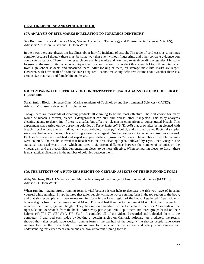#### **HEALTH, MEDICINE AND SPORTS (CONT'D)**

#### **607. ANALYSIS OF BITE MARKS IN RELATION TO FORENSICS DENTISTRY**

Sky Rodriguez, Block 4 Science Class, Marine Academy of Technology and Environmental Science (MATES); Advisors: Mr. Jason Kelsey and Dr. John Wnek

In the news there are always big headlines about horrific incidents of assault. The topic of cold cases is sometimes complex because I thought there must be some way that even without fingerprints and other concrete evidence you could catch a culprit. There is little research done on bite marks and how they relate depending on gender. My study focuses on the use of bite marks as a unique identification marker. To conduct this research I took three bite marks from high school students and measured them. After looking at them, on average male bite marks are larger. However, with how small of a sample size I acquired I cannot make any definitive claims about whether there is a certain size that male and female bite marks are.

#### **608. COMPARING THE EFFICACY OF CONCENTRATED BLEACH AGAINST OTHER HOUSEHOLD CLEANERS**

Sarah Smith, Block 4 Science Class, Marine Academy of Technology and Environmental Sciences (MATES), Advisor: Mr. Jason Kelsey and Dr. John Wnek

Today, there are thousands of cleaning products all claiming to be the most effective. The first choice for many would be bleach. However, bleach is dangerous; it can burn skin and is lethal if ingested. This study analyzes cleaning agents to determine if there is a safer, but effective, cleaner in comparison to concentrated bleach. This experiment was carried out by observing colonies of *Escherichia coli* B (*E. coli*) that grew after being cleaned with bleach, Lysol wipes, vinegar, iodine, hand soap, rubbing (isopropyl) alcohol, and distilled water. Bacterial samples were swabbed onto a tile and cleaned using a designated agent. One section was not cleaned and used as a control. Each section was then swabbed and wiped into petri dishes to grow for 72 hours. The numbers of visible colonies were counted. The results showed that bleach was the best cleaning agent, followed by Lysol, then vinegar. The statistical test used was a t-test which indicated a significant difference between the number of colonies on the vinegar dish and the bleach dish, demonstrating bleach to be more effective. When comparing bleach to Lysol, there is no statistical difference in the number of colonies between them.

#### **609. THE EFFECTS OF A RUNNER'S HEIGHT ON CERTAIN ASPECTS OF THEIR RUNNING FORM**

Abby Stephens, Block 1 Science Class, Marine Academy of Technology of Environmental Science (MATES); Advisor: Dr. John Wnek

When running, having strong running form is vital because it can help to decrease the risk you have of injuring yourself while running. I hypothesized that taller people will have worse running form in the top region of the body, and that shorter people will have worse running form in the lower region of the body. I gathered 25 participants, boys and girls from the freshman class at M.A.T.E.S., and had them go to the gym at M.A.T.E.S one time each. I recorded their name, age, and height. They then ran on a treadmill while I videotaped them for 20 seconds on the right side and 20 seconds from the back. After every participant ran, I split them into three groups based on their heights (4'10"-5'2", 5'3"-5'6", 5'7"-6'3"). I compiled all of the videos I recorded and uploaded them to the computer. I analyzed each video by looking at certain angles on Camtasia software. As predicted, the results showed that taller people have weaker running form in the top half of the body, while shorter people have worse running form in the lower body. Strong running form is vital for the success and safety of all runners and understanding this experiment can emphasize how important running form is.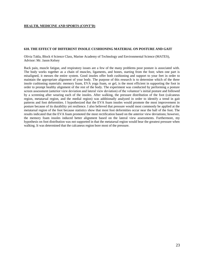#### **HEALTH, MEDICINE AND SPORTS (CONT'D)**

#### **610. THE EFFECT OF DIFFERENT INSOLE CUSHIONING MATERIAL ON POSTURE AND GAIT**

Olivia Takla, Block 4 Science Class, Marine Academy of Technology and Environmental Science (MATES), Advisor: Mr. Jason Kelsey

Back pain, muscle fatigue, and respiratory issues are a few of the many problems poor posture is associated with. The body works together as a chain of muscles, ligaments, and bones, starting from the foot; when one part is misaligned, it messes the entire system. Good insoles offer both cushioning and support to your feet in order to maintain the appropriate alignment of your body. The purpose of this research is to determine which of the three insole cushioning materials: memory foam, EVA yoga foam, or gel, is the most efficient in supporting the foot in order to prompt healthy alignment of the rest of the body. The experiment was conducted by performing a posture screen assessment (anterior view deviation and lateral view deviation) of the volunteer's initial posture and followed by a screening after wearing each of the insoles. After walking, the pressure distribution of the foot (calcaneus region, metatarsal region, and the medial region) was additionally analyzed in order to identify a trend in gait patterns and foot deformities. I hypothesized that the EVA foam insoles would promote the most improvement in posture because of its durability yet resilience. I also believed that pressure would most commonly be applied at the metatarsal region of the foot because statistics show that most foot deformities occur near the ball of the foot. The results indicated that the EVA foam promoted the most rectification based on the anterior view deviations; however, the memory foam insoles induced better alignment based on the lateral view assessments. Furthermore, my hypothesis on foot distribution was not supported in that the metatarsal region would bear the greatest pressure when walking. It was determined that the calcaneus region bore most of the pressure.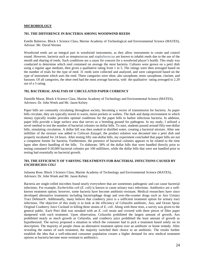#### **MICROBIOLOGY**

#### **701. THE DIFFERENCE IN BACTERIA AMONG WOODWIND REEDS**

Estelle Balsirow, Block 1 Science Class, Marine Academy of Technological and Environmental Science (MATES), Advisor: Mr. David Werner

Woodwind reeds are an integral part in woodwind instruments, as they allow instruments to create and control sound. However, bacteria such as streptococcus and staphylococcus are known to inhabit reeds due to the use of the mouth and sharing of reeds. Such conditions are a cause for concern for a woodwind player's health. This study was conducted to determine which reed contained on average the most bacteria. Cultures were grown on a petri dish using a regular agar medium, then given a qualitative rating from 1 to 5. The ratings were then averaged based on the number of trials for the type of reed. 31 reeds were collected and analyzed, and were categorized based on the type of instrument which uses the reed. These categories were oboe, alto saxophone, tenor saxophone, clarinet, and bassoon. Of all categories, the oboe reed had the most average bacteria, with the qualitative rating averaged to 2.29 out of a 5 rating.

#### **702. BACTERIAL ANALYSIS OF CIRCULATED PAPER CURRENCY**

Danielle Murat, Block 4 Science Class, Marine Academy of Technology and Environmental Science (MATES), Advisors: Dr. John Wnek and Mr. Jason Kelsey

Paper bills are constantly circulating throughout society, becoming a vector of transmission for bacteria. As paper bills circulate, they are typically stored in warm, moist pockets or wallets. The dark and damp environment in which money typically resides provides optimal conditions for the paper bills to harbor infectious bacteria. In addition, paper bills provide a large surface area that serves as a breeding ground for pathogens. In my study, I utilized a novel method to test the number of bacterial colonies on dollar bills. To start, students passed around fifty-one-dollar bills, simulating circulation. A dollar bill was then soaked in distilled water, creating a bacterial mixture. After one milliliter of the mixture was added to *Coliscan Easygel,* the product solution was decanted into a petri dish and properly incubated for 24 hours. After testing fifty one-dollar bills, my experiment concluded that paper bills are not a competent fomite for bacteria. Furthermore, the presence of bacterial colonies appears to be related to the time lapse after direct handling of the bills. To elaborate, 58% of the dollar bills that were handled directly prior to testing contained 0-20,000 bacterial colonies per 100 milliliters, while the dollar bills that were not handled prior to testing had essentially no bacterial growth.

#### **703. THE EFFICIENCY OF VARYING TREATMENTS FOR BACTERIAL INFECTIONS CAUSED BY**  *ESCHERICHIA COLI*

Julianna Rose, Block 3 Science Class, Marine Academy of Technology and Environmental Science (MATES), Advisors: Dr. John Wnek and Mr. Jason Kelsey

Bacteria are single-celled microbes found nearly everywhere that are sometimes pathogenic and can cause bacterial infections. For example, *Escherichia coli* (*E. coli*) is known to cause urinary tract infections. Antibiotics are a wellknown treatment option; however, some bacteria have become antibiotic-resistant. Medical researchers have since developed alternative treatments including bacteriophage drugs and over-the-counter drugs such as Azo Urinary Tract Defense®. Additionally, many believe that cranberry juice is a sufficient treatment option for urinary tract infections. The objective of this study is to look at the efficiency of Cefazolin antibiotic, Azo, and Ocean Spray Original Cranberry Juice Cocktail in killing three strains of *E. coli*. Along with these tests, a survey was given to the general public. Each Petri dish was streaked with an *E. coli* strain and covered with three pieces of filter paper dampened with each treatment. Upon observation, Cefazolin prohibited the largest amount of growth, Azo prohibited nearly as much growth as Cefazolin, and cranberry juice prohibited the least amount of growth as hypothesized. The survey proposed a situation in which the consumer had to pick a treatment based solely on its description. The majority of people chose an alternative treatment option over an antibiotic or home remedy. After revealing the names of each treatment, the majority switched their choice to an antibiotic. The results further establish the idea that a well-educated consumer population creates a higher demand for new medical treatment options as bacteria become more resistant to antibiotics.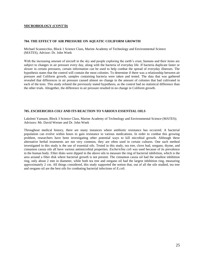#### **MICROBIOLOGY (CONT'D)**

#### **704. THE EFFECT OF AIR PRESSURE ON AQUATIC COLIFORM GROWTH**

Michael Scannicchio, Block 1 Science Class, Marine Academy of Technology and Environmental Science (MATES), Advisor: Dr. John Wnek

With the increasing amount of aircraft in the sky and people exploring the earth's crust, humans and their items are subject to changes in air pressure every day, along with the bacteria of everyday life. If bacteria duplicate faster or slower in certain pressures, certain information can be used to help combat the spread of everyday illnesses. The hypothesis states that the control will contain the most colonies. To determine if there was a relationship between air pressure and Coliform growth, samples containing bacteria were taken and tested. The data that was gathered revealed that differences in air pressure caused almost no change in the amount of colonies that had cultivated in each of the tests. This study refuted the previously stated hypothesis, as the control had no statistical difference than the other trials. Altogether, the difference in air pressure resulted in no change in Coliform growth.

#### **705.** *ESCHERICHIA COLI* **AND ITS REACTION TO VARIOUS ESSENTIAL OILS**

Lakshmi Yannam, Block 3 Science Class, Marine Academy of Technology and Environmental Science (MATES); Advisors: Mr. David Werner and Dr. John Wnek

Throughout medical history, there are many instances where antibiotic resistance has occurred. A bacterial population can evolve within hours to gain resistance to various medications. In order to combat this growing problem, researchers have been investigating other potential ways to kill microbial growth. Although these alternative herbal treatments are not very common, they are often used in certain cultures. One such method investigated in this study is the use of essential oils. Tested in this study, tea tree, clove bud, oregano, thyme, and cinnamon cassia oils all have various antimicrobial properties. *Escherichia coli* was used because of its prevalence in the human body. Filter disks were dipped in the above oils to measure the ring of bacterial inhibition, which is the area around a filter disk where bacterial growth is not present. The cinnamon cassia oil had the smallest inhibition ring, only about 2 mm in diameter, while both tea tree and oregano oil had the largest inhibition ring, measuring approximately 2 cm. All things considered, this study supported the notion that, out of all the oils studied, tea tree and oregano oil are the best oils for combating bacterial infections of *E.coli*.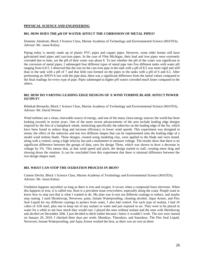#### **PHYSICAL SCIENCE AND ENGINEERING**

#### **801. HOW DOES THE pH OF WATER AFFECT THE CORROSION OF METAL PIPES?**

Dominic Attalienti, Block 3 Science Class, Marine Academy of Technology and Environmental Science (MATES), Advisor: Mr. Jason Kelsey

Piping today is mostly made up of plastic PVC pipes and copper pipes. However, some older homes still have galvanized steel pipes and cast-iron pipes. In the case of Flint Michigan, their lead and iron pipes were extremely corroded due to time, yet the pH of their water was about 8. To test whether the pH of the water was significant to the corrosion of metal pipes, I submerged four different types of metal pipe into five different tanks with water pH ranging from 6-8.5. I observed that the rust on the cast-iron pipe in the tank with a pH of 8.5 was more rigid and stiff than in the tank with a pH of 7 and that little rust formed on the pipes in the tanks with a pH of 6 and 6.5. After performing an ANOVA test with the pipe data, there was a significant difference from the initial values compared to the final readings for every type of pipe. Pipes submerged in higher pH waters corroded much faster compared to the others.

#### **802. HOW DO VARYING LEADING EDGE DESIGNS OF A WIND TURBINE BLADE AFFECT POWER OUTPUT?**

Rebekah Bernardo, Block 1 Science Class, Marine Academy of Technology and Environmental Science (MATES), Advisor: Mr. David Werner

Wind turbines are a clean, renewable source of energy, and one of the many clean energy sources the world has been looking towards in recent years. One of the more recent advancements of the area include leading edge designs inspired by the fins of a humpback whale, mimicking specifically the tubercles on the leading edge of the fin, which have been found to reduce drag and increase efficiency in lower wind speeds. This experiment was designed to mimic the effect of the tubercles and test two different shapes that can be implemented onto the leading edge of a model wind turbine blade. Three designs, created using modeling clay, were applied to the blade and were tested, along with a control, using a high velocity fan and a multimeter to measure voltage. The results show that there is no significant difference between the groups of data, save for design Three, which was shown to have a decrease in voltage by 5%. This means that, at that wind speed and pitch, the design started to stall, creating more drag and slowing down the rotation. It can be concluded from this experiment that there is minimal difference between the two design shapes used.

#### **803. WHAT CAN STOP THE OXIDATION PROCESS IN IRON?**

Connor Devlin, Block 1 Science Class, Marine Academy of Technology and Environmental Science (MATES); Advisor: Mr. Jason Kelsey

Oxidation happens anywhere as long as there is iron and oxygen. It occurs when a compound loses electrons. When this happens to iron, it is called rust. Rust is a prevalent issue everywhere, especially along the coast. People want to know how to stop rust that is what I wanted to do. My plan was to test out different coatings to reduce, and maybe stop rusting. I used Shrinkwrap, Neverwet, paint, Instant Waterproofing, cleaning alcohol, Aqua Armor, and Flex Seal Liquid for my different coatings to protect from water, I also had control. For each type of sealant, I had 10 cubes of A36 steel, plus one to keep out of any sealant or water and just exposed to air. They were to be placed in water for a while to see how much they would rust. I placed the ones without sealant and the ones with Shrinkwrap and alcohol on December 26th. I just decided to ditch iodine because i knew it wouldn't work. The rest were started on January 20, 2019. I checked three days per week: Mondays, Thursdays, and Saturdays. The Flex Seal Liquid, Neverwet, Instant Waterproofing, and Aqua Armor worked the best, as there was no rust on them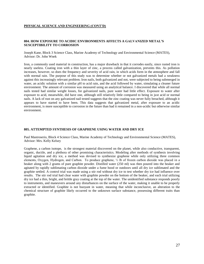#### **PHYSICAL SCIENCE AND ENGINEERING (CONT'D)**

#### **804. HOW EXPOSURE TO ACIDIC ENVIRONMENTS AFFECTS A GALVANIZED METAL'S SUSCEPTIBILITY TO CORROSION**

Joseph Kane, Block 3 Science Class, Marine Academy of Technology and Environmental Science (MATES), Advisor: Dr. John Wnek

Iron, a commonly used material in construction, has a major drawback in that it corrodes easily, since rusted iron is nearly useless. Coating iron with a thin layer of zinc, a process called galvanization, prevents this. As pollution increases, however, so does the frequency and severity of acid rain, in which acids form in the atmosphere and fall with normal rain. The purpose of this study was to determine whether or not galvanized metals had a weakness against this increasingly relevant problem. Iron nails, both galvanized and not, were subjected to being submerged in water, an acidic solution with a similar pH to acid rain, and the acid followed by water, simulating a cleaner future environment. The amount of corrosion was measured using an analytical balance. I discovered that while all normal nails tested had similar weight losses, for galvanized nails, pure water had little effect. Exposure to water after exposure to acid, meanwhile, did have one, although still relatively little compared to being in just acid or normal nails. A lack of rust on any galvanized nail tested suggests that the zinc coating was never fully breached, although it appears to have started to have been. This data suggests that galvanized metal, after exposure to an acidic environment, is more susceptible to corrosion in the future than had it remained in a non-acidic but otherwise similar environment.

#### **805. ATTEMPTED SYNTHESIS OF GRAPHENE USING WATER AND DRY ICE**

Paul Mastroserio, Block 4 Science Class, Marine Academy of Technology and Environmental Science (MATES), Advisor: Mrs. Kelly Kelsey

Graphene, a carbon isotope, is the strongest material discovered on the planet, while also conductive, transparent, organic, ductile, and a plethora of other promising characteristics. Modeling after methods of synthesis involving liquid agitation and dry ice, a method was devised to synthesize graphene while only utilizing three common elements, Oxygen, Hydrogen, and Carbon. To produce graphene, ⅓ lb of frozen carbon dioxide was placed in a beaker along with 2 grams of pure graphite powder. Distilled water (250 ml) was then poured into the beaker and agitated by rapidly sublimating carbon dioxide under a fume hood or outdoors until all dry ice sublimated and the graphite settled. A control trial was made using a stir rod without dry ice to test whether dry ice had influence over results. The stir rod trial had clear water with graphite powder on the bottom of the beaker, and each trial utilizing dry ice had a thin, bright, and brittle gray coating at the top of the water. The unidentified substance responds poorly to instruments, and maneuvers around any disturbances on the surface of the water, making it unable to be properly extracted or identified. Graphite is not buoyant in water, meaning that while inconclusive, an alteration to the chemical structure of graphite likely occurred to the unknown surface substance, possessing different traits than graphite.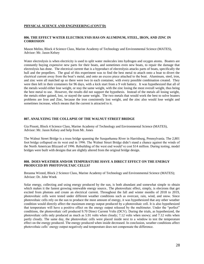#### **PHYSICAL SCIENCE AND ENGINEERING (CONT'D)**

#### **806. THE EFFECT WATER ELECTROLYSIS HAS ON ALUMINUM, STEEL, IRON, AND ZINC IN CORROSION**

Mason Melito, Block 4 Science Class, Marine Academy of Technology and Environmental Science (MATES), Advisor: Mr. Jason Kelsey

Water electrolysis is when electricity is used to split water molecules into hydrogen and oxygen atoms. Boaters are constantly buying expensive new parts for their boats, and sometimes even new boats, to repair the damage that electrolysis has done. The electrical current that is a byproduct of electrolysis attacks parts of boats, specifically the hull and the propellers. The goal of this experiment was to find the best metal to attach onto a boat to divert the electrical current away from the boat's metal, and onto an excess piece attached to the boat. Aluminum, steel, iron, and zinc were all matched up so there were two in each container, with every possible combination created. They were then left in their containers for 96 days, with a kick start from a 9 volt battery. It was hypothesized that all of the metals would either lose weight, or stay the same weight, with the zinc losing the most overall weight, thus being the best metal to use. However, the results did not support the hypothesis. Instead of the metals all losing weight, the metals either gained, lost, or stayed the same weight. The two metals that would work the best to solve boaters problems are Iron and Zinc, because the iron consistently lost weight, and the zinc also would lose weight and sometimes increase, which means that the current is attracted to it.

#### **807. ANALYZING THE COLLAPSE OF THE WALNUT STREET BRIDGE**

Gia Pissott, Block 4 Science Class, Marine Academy of Technology and Environmental Science (MATES), Advisor: Mr. Jason Kelsey and help from Mr. Jones

The Walnut Street Bridge is a truss bridge spanning the Susquehanna River in Harrisburg, Pennsylvania. The 2,801 foot bridge collapsed on its west end in 1996. The Walnut Street Bridge didn't stand a chance against the winds of the North American Blizzard of 1996. Rebuilding of the west end would've cost \$14 million. During testing, model bridges were built with designs that are slightly altered from the original bridge design.

#### **808. DOES WEATHER AND/OR TEMPERATURE HAVE A DIRECT EFFECT ON THE ENERGY PRODUCED BY PHOTOVOLTAIC CELLS?**

Breanna Wixted, Block 2 Science Class, Marine Academy of Technology and Environmental Science (MATES); Advisor: Dr. John Wnek

Solar energy, collecting and using energy produced by the sun, is both abundant and somewhat simple to obtain which makes it the fastest growing renewable energy source.. The photovoltaic effect, simply, is electrons that get excited from photons and create an electrical current. Throughout the fall and winter months of 2018 to 2019, photovoltaic cells were tested under different weather conditions such as overcast, rain, wind, and snow. Since photovoltaic cells rely on the sun to produce the most amount of energy, it was hypothesized that any other weather condition would directly affect the maximum energy output produced by a photovoltaic cell. It is also hypothesized that temperature will have a positive effect on the energy output released by the multimeter. Under the "perfect" conditions, the photovoltaic cell produced 9.70 Direct Current Volts (DCV). During the trials, as hypothesized, the photovoltaic cells only produced as much as 5.91 volts when cloudy; 7.12 volts when snowy; and 7.12 volts when partly cloudy. The same day, the photovoltaic cells were placed inside next to a window to test the temperature effect on the energy produced. The energy produced when inside decreased. In conclusion, weather conditions affect photovoltaic cells' energy output negatively and temperature does not compensate the difference.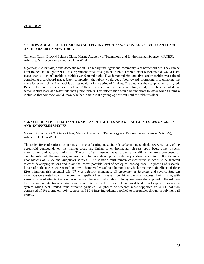#### **ZOOLOGY**

#### **901. HOW AGE AFFECTS LEARNING ABILITY IN** *ORYCTOLAGUS CUNICULUS***: YOU CAN TEACH AN OLD RABBIT A NEW TRICK**

Cameron Callis, Block 4 Science Class, Marine Academy of Technology and Environmental Science (MATES), Advisors: Mr. Jason Kelsey and Dr. John Wnek

*Oryctolagus cuniculus*, or the domestic rabbit, is a highly intelligent and commonly kept household pet. They can be litter trained and taught tricks. This experiment tested if a "junior" rabbit, a rabbit under 6 months old, would learn faster than a "senior" rabbit, a rabbit over 6 months old. Five junior rabbits and five senior rabbits were timed completing a cardboard maze. Upon completion, the rabbit would get a food reward, prompting it to complete the maze faster each time. Each rabbit was tested daily for a period of 14 days. The data was then graphed and analyzed. Because the slope of the senior trendline, -2.02 was steeper than the junior trendline, -1.04, it can be concluded that senior rabbits learn at a faster rate than junior rabbits. This information would be important to know when training a rabbit, so that someone would know whether to train it at a young age or wait until the rabbit is older.

#### **902. SYNERGISTIC EFFECTS OF TOXIC ESSENTIAL OILS AND OLFACTORY LURES ON** *CULEX* **AND** *ANOPHELES* **SPECIES**

Gwen Ericson, Block 3 Science Class, Marine Academy of Technology and Environmental Science (MATES), Advisor: Dr. John Wnek

The toxic effects of various compounds on vector-bearing mosquitoes have been long studied, however, many of the pyrethroid compounds on the market today are linked to environmental distress upon bees, other insects, mammalian, and aquatic lifeforms. The aim of this research was to devise an efficient mixture composed of essential oils and olfactory lures, and use this solution in developing a stationary feeding system to result in the most knockdowns of *Culex* and *Anopheles* species. The solution must remain cost-effective in order to be targeted towards developing nations and retain the lowest-possible level of ecological consequence. In phase I of research, larvae of both species were reared in a two-chambered vessel to adulthood; at which time the toxic effects of three EPA minimum risk essential oils (*Thymus vulgaris*, cinnamon, *Cinnamomum zeylanicum*, and savory, *Satureja montana*) were tested against the common repellent Deet. Phase II combined the most successful oil, thyme, with various forms of attractant in a series of tests to devise a final solution. Honeybees were also exposed to the solution to determine unintentional mortality rates and interest levels. Phase III examined feeder prototypes to engineer a system which best limited toxic airborne particles. All phases of research most supported an ATSB solution comprised of 1% thyme oil, 10% sucrose, and 50% inert ingredients supplied to mosquitoes through a polymer ball system.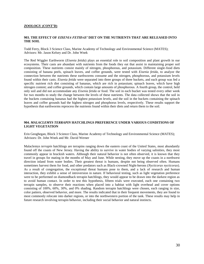#### **ZOOLOGY (CONT'D)**

#### **903. THE EFFECT OF** *EISENIA FETIDAS'* **DIET ON THE NUTRIENTS THAT ARE RELEASED INTO THE SOIL**

Todd Ferry, Block 3 Science Class, Marine Academy of Technology and Environmental Science (MATES); Advisors: Mr. Jason Kelsey and Dr. John Wnek

The Red Wiggler Earthworm (*Eisenia fetida*) plays an essential role to soil composition and plant growth in our ecosystems. Their casts are abundant with nutrients from the foods they eat that assist in maintaining proper soil composition. These nutrients consist mainly of nitrogen, phosphorous, and potassium. Different single-food diets consisting of banana peels, spinach leaves, and coffee grounds, were tested with *Eisenia fetida,* to analyze the connection between the nutrients these earthworms consume and the nitrogen, phosphorous, and potassium levels found within their casts. *Eisenia fetida* were separated into three groups of three buckets, and each group was fed a specific nutrient rich diet consisting of bananas, which are rich in potassium; spinach leaves, which have high nitrogen content; and coffee grounds, which contain large amounts of phosphorous. A fourth group, the control, held only soil and did not accommodate any *Eisenia fetida* or food. The soil in each bucket was tested every other week for two months to study the change between the levels of these nutrients. The data collected shows that the soil in the buckets containing bananas had the highest potassium levels, and the soil in the buckets containing the spinach leaves and coffee grounds had the highest nitrogen and phosphorus levels, respectively. These results support the hypothesis that earthworms reprocess the nutrients found within their diets and return them to the soil.

#### **904.** *MALACLEMYS TERRAPIN* **HATCHLINGS PREFERENCE UNDER VARIOUS CONDITIONS OF LIGHT VEGETATION**

Erin Geoghegan, Block 3 Science Class, Marine Academy of Technology and Environmental Science (MATES); Advisors: Dr. John Wnek and Mr. David Werner

Malaclemys *terrapin* hatchlings are terrapins ranging down the eastern coast of the United States, most abundantly found off the coasts of New Jersey. Having the ability to survive in water bodies of varying salinities, they most commonly appear in brackish waters. Although their natural behavior is not often observed, it is known that they travel in groups for mating in the months of May and June. While nesting, they move up the coasts in a northwest direction inland from water bodies. Their greatest threat is humans, despite not being observed often. Humans sometimes harvest them for food, and other predators such as Black-crowned Night-herons (*Nycticorax nycticorax*). As a result of congregation, the exceptional threat humans pose to them, and a lack of research and human interaction, they exhibit a sense of introversion in nature. If behavioral testing, such as light vegetation preference were to be performed on diamondback terrapin hatchlings, they would appear to be drawn into the darkest region as to avoid human contact. In order to test this hypothesis, fifteen trials were executed, each one containing two terrapin samples, to observe their reactions when placed into a habitat with light overhead and cover options consisting of 100%, 60%, 30%, and 0% shading. Random terrapin hatchlings were chosen, each ranging in size, color pattern, observed behavior, and more. The results indicated that in their frequent movements, they are found to most commonly relocate into darker regions, or into the northwestern portion of the tank. These results may help in future research involving terrapin behavior, including their social behavior and natural instincts.